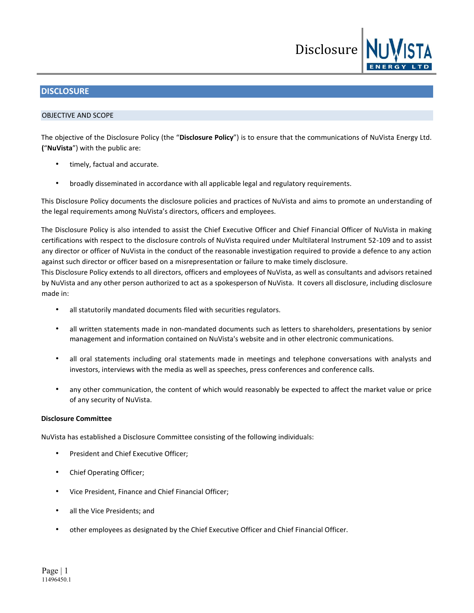

# **DISCLOSURE**

## OBJECTIVE AND SCOPE

The objective of the Disclosure Policy (the "**Disclosure Policy**") is to ensure that the communications of NuVista Energy Ltd. **(**"**NuVista**") with the public are:

- timely, factual and accurate.
- broadly disseminated in accordance with all applicable legal and regulatory requirements.

This Disclosure Policy documents the disclosure policies and practices of NuVista and aims to promote an understanding of the legal requirements among NuVista's directors, officers and employees.

The Disclosure Policy is also intended to assist the Chief Executive Officer and Chief Financial Officer of NuVista in making certifications with respect to the disclosure controls of NuVista required under Multilateral Instrument 52-109 and to assist any director or officer of NuVista in the conduct of the reasonable investigation required to provide a defence to any action against such director or officer based on a misrepresentation or failure to make timely disclosure.

This Disclosure Policy extends to all directors, officers and employees of NuVista, as well as consultants and advisors retained by NuVista and any other person authorized to act as a spokesperson of NuVista. It covers all disclosure, including disclosure made in:

- all statutorily mandated documents filed with securities regulators.
- all written statements made in non-mandated documents such as letters to shareholders, presentations by senior management and information contained on NuVista's website and in other electronic communications.
- all oral statements including oral statements made in meetings and telephone conversations with analysts and investors, interviews with the media as well as speeches, press conferences and conference calls.
- any other communication, the content of which would reasonably be expected to affect the market value or price of any security of NuVista.

# **Disclosure Committee**

NuVista has established a Disclosure Committee consisting of the following individuals:

- President and Chief Executive Officer;
- Chief Operating Officer;
- Vice President, Finance and Chief Financial Officer;
- all the Vice Presidents; and
- other employees as designated by the Chief Executive Officer and Chief Financial Officer.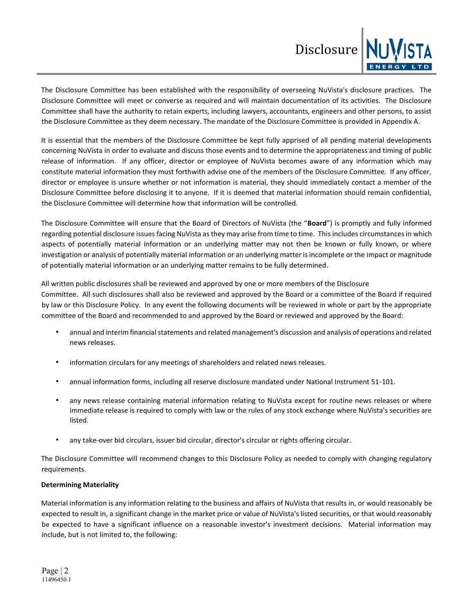

The Disclosure Committee has been established with the responsibility of overseeing NuVista's disclosure practices. The Disclosure Committee will meet or converse as required and will maintain documentation of its activities. The Disclosure Committee shall have the authority to retain experts, including lawyers, accountants, engineers and other persons, to assist the Disclosure Committee as they deem necessary. The mandate of the Disclosure Committee is provided in Appendix A.

It is essential that the members of the Disclosure Committee be kept fully apprised of all pending material developments concerning NuVista in order to evaluate and discuss those events and to determine the appropriateness and timing of public release of information. If any officer, director or employee of NuVista becomes aware of any information which may constitute material information they must forthwith advise one of the members of the Disclosure Committee. If any officer, director or employee is unsure whether or not information is material, they should immediately contact a member of the Disclosure Committee before disclosing it to anyone. If it is deemed that material information should remain confidential, the Disclosure Committee will determine how that information will be controlled.

The Disclosure Committee will ensure that the Board of Directors of NuVista (the "**Board**") is promptly and fully informed regarding potential disclosure issues facing NuVista as they may arise from time to time. This includes circumstances in which aspects of potentially material information or an underlying matter may not then be known or fully known, or where investigation or analysis of potentially material information or an underlying matter is incomplete or the impact or magnitude of potentially material information or an underlying matter remains to be fully determined.

All written public disclosures shall be reviewed and approved by one or more members of the Disclosure Committee. All such disclosures shall also be reviewed and approved by the Board or a committee of the Board if required by law or this Disclosure Policy. In any event the following documents will be reviewed in whole or part by the appropriate committee of the Board and recommended to and approved by the Board or reviewed and approved by the Board:

- annual and interim financial statements and related management's discussion and analysis of operations and related news releases.
- information circulars for any meetings of shareholders and related news releases.
- annual information forms, including all reserve disclosure mandated under National Instrument 51-101.
- any news release containing material information relating to NuVista except for routine news releases or where immediate release is required to comply with law or the rules of any stock exchange where NuVista's securities are listed.
- any take-over bid circulars, issuer bid circular, director's circular or rights offering circular.

The Disclosure Committee will recommend changes to this Disclosure Policy as needed to comply with changing regulatory requirements.

# **Determining Materiality**

Material information is any information relating to the business and affairs of NuVista that results in, or would reasonably be expected to result in, a significant change in the market price or value of NuVista's listed securities, or that would reasonably be expected to have a significant influence on a reasonable investor's investment decisions. Material information may include, but is not limited to, the following: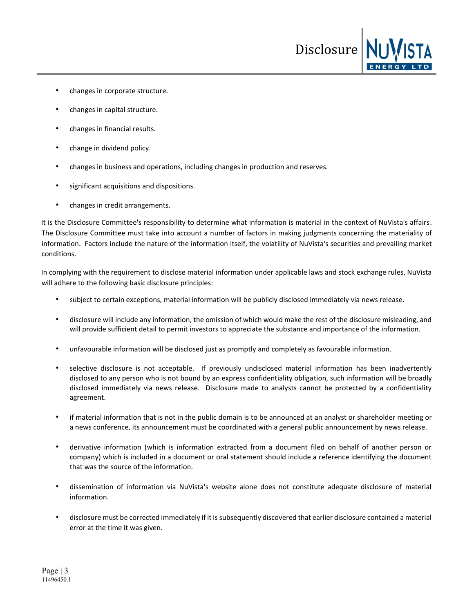- changes in corporate structure.
- changes in capital structure.
- changes in financial results.
- change in dividend policy.
- changes in business and operations, including changes in production and reserves.
- significant acquisitions and dispositions.
- changes in credit arrangements.

It is the Disclosure Committee's responsibility to determine what information is material in the context of NuVista's affairs. The Disclosure Committee must take into account a number of factors in making judgments concerning the materiality of information. Factors include the nature of the information itself, the volatility of NuVista's securities and prevailing market conditions.

Disclosure

In complying with the requirement to disclose material information under applicable laws and stock exchange rules, NuVista will adhere to the following basic disclosure principles:

- subject to certain exceptions, material information will be publicly disclosed immediately via news release.
- disclosure will include any information, the omission of which would make the rest of the disclosure misleading, and will provide sufficient detail to permit investors to appreciate the substance and importance of the information.
- unfavourable information will be disclosed just as promptly and completely as favourable information.
- selective disclosure is not acceptable. If previously undisclosed material information has been inadvertently disclosed to any person who is not bound by an express confidentiality obligation, such information will be broadly disclosed immediately via news release. Disclosure made to analysts cannot be protected by a confidentiality agreement.
- if material information that is not in the public domain is to be announced at an analyst or shareholder meeting or a news conference, its announcement must be coordinated with a general public announcement by news release.
- derivative information (which is information extracted from a document filed on behalf of another person or company) which is included in a document or oral statement should include a reference identifying the document that was the source of the information.
- dissemination of information via NuVista's website alone does not constitute adequate disclosure of material information.
- disclosure must be corrected immediately if it is subsequently discovered that earlier disclosure contained a material error at the time it was given.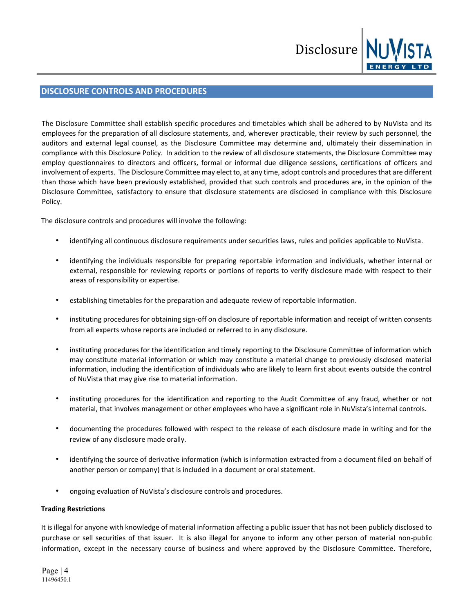

# **DISCLOSURE CONTROLS AND PROCEDURES**

The Disclosure Committee shall establish specific procedures and timetables which shall be adhered to by NuVista and its employees for the preparation of all disclosure statements, and, wherever practicable, their review by such personnel, the auditors and external legal counsel, as the Disclosure Committee may determine and, ultimately their dissemination in compliance with this Disclosure Policy. In addition to the review of all disclosure statements, the Disclosure Committee may employ questionnaires to directors and officers, formal or informal due diligence sessions, certifications of officers and involvement of experts. The Disclosure Committee may elect to, at any time, adopt controls and procedures that are different than those which have been previously established, provided that such controls and procedures are, in the opinion of the Disclosure Committee, satisfactory to ensure that disclosure statements are disclosed in compliance with this Disclosure Policy.

The disclosure controls and procedures will involve the following:

- identifying all continuous disclosure requirements under securities laws, rules and policies applicable to NuVista.
- identifying the individuals responsible for preparing reportable information and individuals, whether internal or external, responsible for reviewing reports or portions of reports to verify disclosure made with respect to their areas of responsibility or expertise.
- establishing timetables for the preparation and adequate review of reportable information.
- instituting procedures for obtaining sign-off on disclosure of reportable information and receipt of written consents from all experts whose reports are included or referred to in any disclosure.
- instituting procedures for the identification and timely reporting to the Disclosure Committee of information which may constitute material information or which may constitute a material change to previously disclosed material information, including the identification of individuals who are likely to learn first about events outside the control of NuVista that may give rise to material information.
- instituting procedures for the identification and reporting to the Audit Committee of any fraud, whether or not material, that involves management or other employees who have a significant role in NuVista's internal controls.
- documenting the procedures followed with respect to the release of each disclosure made in writing and for the review of any disclosure made orally.
- identifying the source of derivative information (which is information extracted from a document filed on behalf of another person or company) that is included in a document or oral statement.
- ongoing evaluation of NuVista's disclosure controls and procedures.

# **Trading Restrictions**

It is illegal for anyone with knowledge of material information affecting a public issuer that has not been publicly disclosed to purchase or sell securities of that issuer. It is also illegal for anyone to inform any other person of material non-public information, except in the necessary course of business and where approved by the Disclosure Committee. Therefore,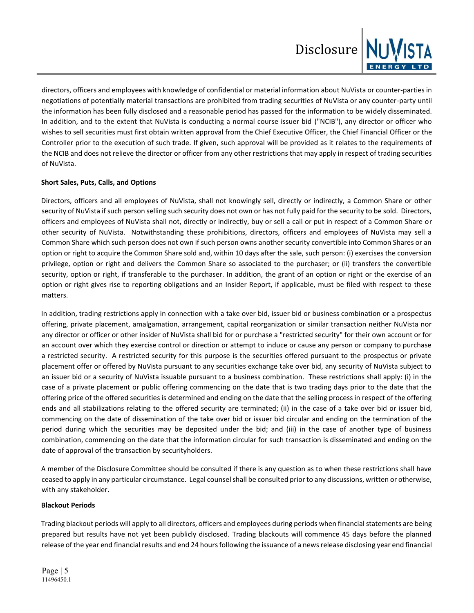

directors, officers and employees with knowledge of confidential or material information about NuVista or counter-parties in negotiations of potentially material transactions are prohibited from trading securities of NuVista or any counter-party until the information has been fully disclosed and a reasonable period has passed for the information to be widely disseminated. In addition, and to the extent that NuVista is conducting a normal course issuer bid ("NCIB"), any director or officer who wishes to sell securities must first obtain written approval from the Chief Executive Officer, the Chief Financial Officer or the Controller prior to the execution of such trade. If given, such approval will be provided as it relates to the requirements of the NCIB and does not relieve the director or officer from any other restrictions that may apply in respect of trading securities of NuVista.

# **Short Sales, Puts, Calls, and Options**

Directors, officers and all employees of NuVista, shall not knowingly sell, directly or indirectly, a Common Share or other security of NuVista if such person selling such security does not own or has not fully paid for the security to be sold. Directors, officers and employees of NuVista shall not, directly or indirectly, buy or sell a call or put in respect of a Common Share or other security of NuVista. Notwithstanding these prohibitions, directors, officers and employees of NuVista may sell a Common Share which such person does not own if such person owns another security convertible into Common Shares or an option or right to acquire the Common Share sold and, within 10 days after the sale, such person: (i) exercises the conversion privilege, option or right and delivers the Common Share so associated to the purchaser; or (ii) transfers the convertible security, option or right, if transferable to the purchaser. In addition, the grant of an option or right or the exercise of an option or right gives rise to reporting obligations and an Insider Report, if applicable, must be filed with respect to these matters.

In addition, trading restrictions apply in connection with a take over bid, issuer bid or business combination or a prospectus offering, private placement, amalgamation, arrangement, capital reorganization or similar transaction neither NuVista nor any director or officer or other insider of NuVista shall bid for or purchase a "restricted security" for their own account or for an account over which they exercise control or direction or attempt to induce or cause any person or company to purchase a restricted security. A restricted security for this purpose is the securities offered pursuant to the prospectus or private placement offer or offered by NuVista pursuant to any securities exchange take over bid, any security of NuVista subject to an issuer bid or a security of NuVista issuable pursuant to a business combination. These restrictions shall apply: (i) in the case of a private placement or public offering commencing on the date that is two trading days prior to the date that the offering price of the offered securities is determined and ending on the date that the selling process in respect of the offering ends and all stabilizations relating to the offered security are terminated; (ii) in the case of a take over bid or issuer bid, commencing on the date of dissemination of the take over bid or issuer bid circular and ending on the termination of the period during which the securities may be deposited under the bid; and (iii) in the case of another type of business combination, commencing on the date that the information circular for such transaction is disseminated and ending on the date of approval of the transaction by securityholders.

A member of the Disclosure Committee should be consulted if there is any question as to when these restrictions shall have ceased to apply in any particular circumstance. Legal counsel shall be consulted prior to any discussions, written or otherwise, with any stakeholder.

# **Blackout Periods**

Trading blackout periods will apply to all directors, officers and employees during periods when financial statements are being prepared but results have not yet been publicly disclosed. Trading blackouts will commence 45 days before the planned release of the year end financial results and end 24 hours following the issuance of a news release disclosing year end financial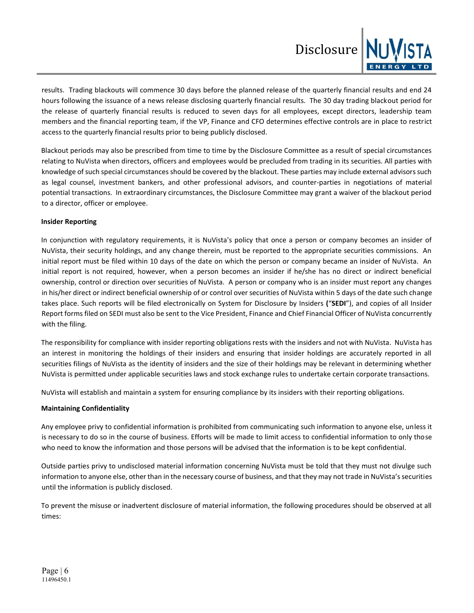

results. Trading blackouts will commence 30 days before the planned release of the quarterly financial results and end 24 hours following the issuance of a news release disclosing quarterly financial results. The 30 day trading blackout period for the release of quarterly financial results is reduced to seven days for all employees, except directors, leadership team members and the financial reporting team, if the VP, Finance and CFO determines effective controls are in place to restrict access to the quarterly financial results prior to being publicly disclosed.

Blackout periods may also be prescribed from time to time by the Disclosure Committee as a result of special circumstances relating to NuVista when directors, officers and employees would be precluded from trading in its securities. All parties with knowledge of such special circumstances should be covered by the blackout. These parties may include external advisors such as legal counsel, investment bankers, and other professional advisors, and counter-parties in negotiations of material potential transactions. In extraordinary circumstances, the Disclosure Committee may grant a waiver of the blackout period to a director, officer or employee.

## **Insider Reporting**

In conjunction with regulatory requirements, it is NuVista's policy that once a person or company becomes an insider of NuVista, their security holdings, and any change therein, must be reported to the appropriate securities commissions. An initial report must be filed within 10 days of the date on which the person or company became an insider of NuVista. An initial report is not required, however, when a person becomes an insider if he/she has no direct or indirect beneficial ownership, control or direction over securities of NuVista. A person or company who is an insider must report any changes in his/her direct or indirect beneficial ownership of or control over securities of NuVista within 5 days of the date such change takes place. Such reports will be filed electronically on System for Disclosure by Insiders **(**"**SEDI**"), and copies of all Insider Report forms filed on SEDI must also be sent to the Vice President, Finance and Chief Financial Officer of NuVista concurrently with the filing.

The responsibility for compliance with insider reporting obligations rests with the insiders and not with NuVista. NuVista has an interest in monitoring the holdings of their insiders and ensuring that insider holdings are accurately reported in all securities filings of NuVista as the identity of insiders and the size of their holdings may be relevant in determining whether NuVista is permitted under applicable securities laws and stock exchange rules to undertake certain corporate transactions.

NuVista will establish and maintain a system for ensuring compliance by its insiders with their reporting obligations.

# **Maintaining Confidentiality**

Any employee privy to confidential information is prohibited from communicating such information to anyone else, unless it is necessary to do so in the course of business. Efforts will be made to limit access to confidential information to only those who need to know the information and those persons will be advised that the information is to be kept confidential.

Outside parties privy to undisclosed material information concerning NuVista must be told that they must not divulge such information to anyone else, other than in the necessary course of business, and that they may not trade in NuVista's securities until the information is publicly disclosed.

To prevent the misuse or inadvertent disclosure of material information, the following procedures should be observed at all times: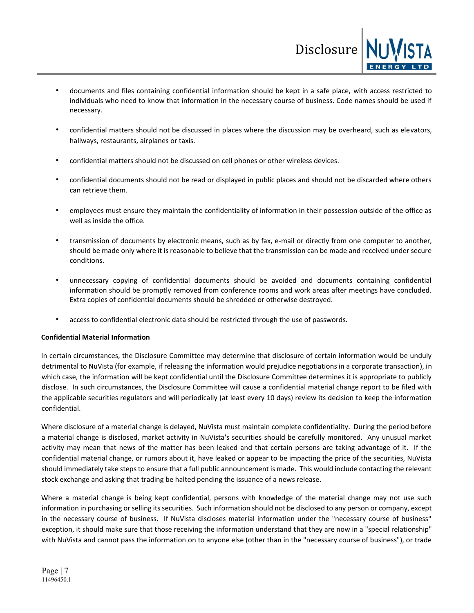• documents and files containing confidential information should be kept in a safe place, with access restricted to individuals who need to know that information in the necessary course of business. Code names should be used if necessary.

Disclosure

- confidential matters should not be discussed in places where the discussion may be overheard, such as elevators, hallways, restaurants, airplanes or taxis.
- confidential matters should not be discussed on cell phones or other wireless devices.
- confidential documents should not be read or displayed in public places and should not be discarded where others can retrieve them.
- employees must ensure they maintain the confidentiality of information in their possession outside of the office as well as inside the office.
- transmission of documents by electronic means, such as by fax, e-mail or directly from one computer to another, should be made only where it is reasonable to believe that the transmission can be made and received under secure conditions.
- unnecessary copying of confidential documents should be avoided and documents containing confidential information should be promptly removed from conference rooms and work areas after meetings have concluded. Extra copies of confidential documents should be shredded or otherwise destroyed.
- access to confidential electronic data should be restricted through the use of passwords.

# **Confidential Material Information**

In certain circumstances, the Disclosure Committee may determine that disclosure of certain information would be unduly detrimental to NuVista (for example, if releasing the information would prejudice negotiations in a corporate transaction), in which case, the information will be kept confidential until the Disclosure Committee determines it is appropriate to publicly disclose. In such circumstances, the Disclosure Committee will cause a confidential material change report to be filed with the applicable securities regulators and will periodically (at least every 10 days) review its decision to keep the information confidential.

Where disclosure of a material change is delayed, NuVista must maintain complete confidentiality. During the period before a material change is disclosed, market activity in NuVista's securities should be carefully monitored. Any unusual market activity may mean that news of the matter has been leaked and that certain persons are taking advantage of it. If the confidential material change, or rumors about it, have leaked or appear to be impacting the price of the securities, NuVista should immediately take steps to ensure that a full public announcement is made. This would include contacting the relevant stock exchange and asking that trading be halted pending the issuance of a news release.

Where a material change is being kept confidential, persons with knowledge of the material change may not use such information in purchasing or selling its securities. Such information should not be disclosed to any person or company, except in the necessary course of business. If NuVista discloses material information under the "necessary course of business" exception, it should make sure that those receiving the information understand that they are now in a "special relationship" with NuVista and cannot pass the information on to anyone else (other than in the "necessary course of business"), or trade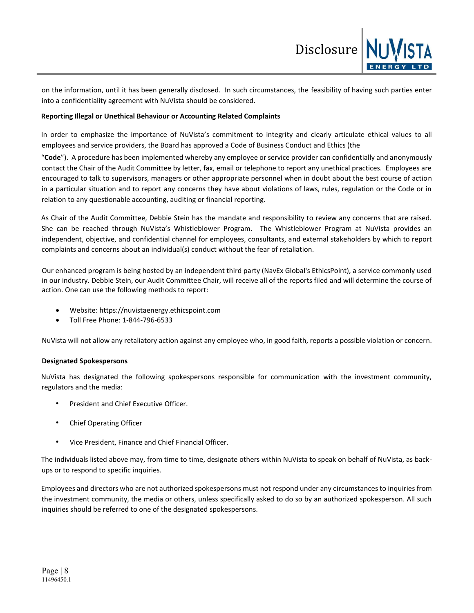

on the information, until it has been generally disclosed. In such circumstances, the feasibility of having such parties enter into a confidentiality agreement with NuVista should be considered.

## **Reporting Illegal or Unethical Behaviour or Accounting Related Complaints**

In order to emphasize the importance of NuVista's commitment to integrity and clearly articulate ethical values to all employees and service providers, the Board has approved a Code of Business Conduct and Ethics (the

"**Code**"). A procedure has been implemented whereby any employee or service provider can confidentially and anonymously contact the Chair of the Audit Committee by letter, fax, email or telephone to report any unethical practices. Employees are encouraged to talk to supervisors, managers or other appropriate personnel when in doubt about the best course of action in a particular situation and to report any concerns they have about violations of laws, rules, regulation or the Code or in relation to any questionable accounting, auditing or financial reporting.

As Chair of the Audit Committee, Debbie Stein has the mandate and responsibility to review any concerns that are raised. She can be reached through NuVista's Whistleblower Program. The Whistleblower Program at NuVista provides an independent, objective, and confidential channel for employees, consultants, and external stakeholders by which to report complaints and concerns about an individual(s) conduct without the fear of retaliation.

Our enhanced program is being hosted by an independent third party (NavEx Global's EthicsPoint), a service commonly used in our industry. Debbie Stein, our Audit Committee Chair, will receive all of the reports filed and will determine the course of action. One can use the following methods to report:

- Website[: https://nuvistaenergy.ethicspoint.com](https://nuvistaenergy.ethicspoint.com/)
- Toll Free Phone: 1-844-796-6533

NuVista will not allow any retaliatory action against any employee who, in good faith, reports a possible violation or concern.

# **Designated Spokespersons**

NuVista has designated the following spokespersons responsible for communication with the investment community, regulators and the media:

- President and Chief Executive Officer.
- Chief Operating Officer
- Vice President, Finance and Chief Financial Officer.

The individuals listed above may, from time to time, designate others within NuVista to speak on behalf of NuVista, as backups or to respond to specific inquiries.

Employees and directors who are not authorized spokespersons must not respond under any circumstances to inquiries from the investment community, the media or others, unless specifically asked to do so by an authorized spokesperson. All such inquiries should be referred to one of the designated spokespersons.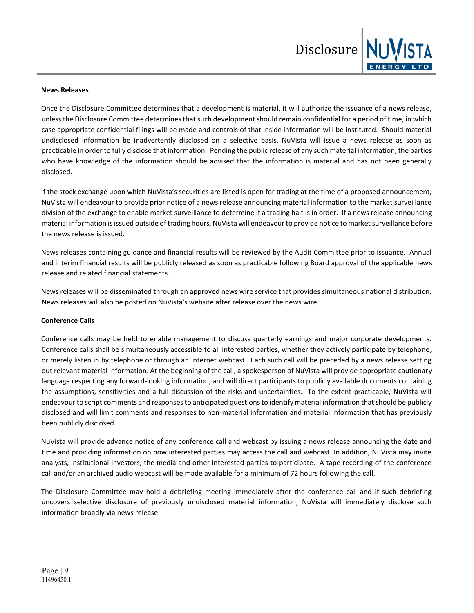

## **News Releases**

Once the Disclosure Committee determines that a development is material, it will authorize the issuance of a news release, unless the Disclosure Committee determines that such development should remain confidential for a period of time, in which case appropriate confidential filings will be made and controls of that inside information will be instituted. Should material undisclosed information be inadvertently disclosed on a selective basis, NuVista will issue a news release as soon as practicable in order to fully disclose that information. Pending the public release of any such material information, the parties who have knowledge of the information should be advised that the information is material and has not been generally disclosed.

If the stock exchange upon which NuVista's securities are listed is open for trading at the time of a proposed announcement, NuVista will endeavour to provide prior notice of a news release announcing material information to the market surveillance division of the exchange to enable market surveillance to determine if a trading halt is in order. If a news release announcing material information is issued outside of trading hours, NuVista will endeavour to provide notice to market surveillance before the news release is issued.

News releases containing guidance and financial results will be reviewed by the Audit Committee prior to issuance. Annual and interim financial results will be publicly released as soon as practicable following Board approval of the applicable news release and related financial statements.

News releases will be disseminated through an approved news wire service that provides simultaneous national distribution. News releases will also be posted on NuVista's website after release over the news wire.

### **Conference Calls**

Conference calls may be held to enable management to discuss quarterly earnings and major corporate developments. Conference calls shall be simultaneously accessible to all interested parties, whether they actively participate by telephone, or merely listen in by telephone or through an Internet webcast. Each such call will be preceded by a news release setting out relevant material information. At the beginning of the call, a spokesperson of NuVista will provide appropriate cautionary language respecting any forward-looking information, and will direct participants to publicly available documents containing the assumptions, sensitivities and a full discussion of the risks and uncertainties. To the extent practicable, NuVista will endeavour to script comments and responses to anticipated questions to identify material information that should be publicly disclosed and will limit comments and responses to non-material information and material information that has previously been publicly disclosed.

NuVista will provide advance notice of any conference call and webcast by issuing a news release announcing the date and time and providing information on how interested parties may access the call and webcast. In addition, NuVista may invite analysts, institutional investors, the media and other interested parties to participate. A tape recording of the conference call and/or an archived audio webcast will be made available for a minimum of 72 hours following the call.

The Disclosure Committee may hold a debriefing meeting immediately after the conference call and if such debriefing uncovers selective disclosure of previously undisclosed material information, NuVista will immediately disclose such information broadly via news release.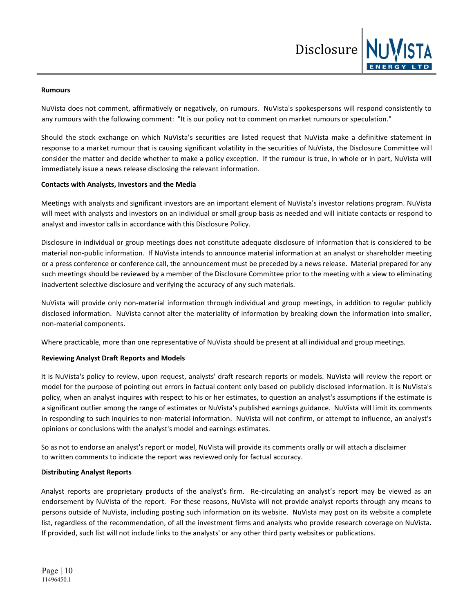

#### **Rumours**

NuVista does not comment, affirmatively or negatively, on rumours. NuVista's spokespersons will respond consistently to any rumours with the following comment: "It is our policy not to comment on market rumours or speculation."

Should the stock exchange on which NuVista's securities are listed request that NuVista make a definitive statement in response to a market rumour that is causing significant volatility in the securities of NuVista, the Disclosure Committee will consider the matter and decide whether to make a policy exception. If the rumour is true, in whole or in part, NuVista will immediately issue a news release disclosing the relevant information.

### **Contacts with Analysts, Investors and the Media**

Meetings with analysts and significant investors are an important element of NuVista's investor relations program. NuVista will meet with analysts and investors on an individual or small group basis as needed and will initiate contacts or respond to analyst and investor calls in accordance with this Disclosure Policy.

Disclosure in individual or group meetings does not constitute adequate disclosure of information that is considered to be material non-public information. If NuVista intends to announce material information at an analyst or shareholder meeting or a press conference or conference call, the announcement must be preceded by a news release. Material prepared for any such meetings should be reviewed by a member of the Disclosure Committee prior to the meeting with a view to eliminating inadvertent selective disclosure and verifying the accuracy of any such materials.

NuVista will provide only non-material information through individual and group meetings, in addition to regular publicly disclosed information. NuVista cannot alter the materiality of information by breaking down the information into smaller, non-material components.

Where practicable, more than one representative of NuVista should be present at all individual and group meetings.

# **Reviewing Analyst Draft Reports and Models**

It is NuVista's policy to review, upon request, analysts' draft research reports or models. NuVista will review the report or model for the purpose of pointing out errors in factual content only based on publicly disclosed information. It is NuVista's policy, when an analyst inquires with respect to his or her estimates, to question an analyst's assumptions if the estimate is a significant outlier among the range of estimates or NuVista's published earnings guidance. NuVista will limit its comments in responding to such inquiries to non-material information. NuVista will not confirm, or attempt to influence, an analyst's opinions or conclusions with the analyst's model and earnings estimates.

So as not to endorse an analyst's report or model, NuVista will provide its comments orally or will attach a disclaimer to written comments to indicate the report was reviewed only for factual accuracy.

### **Distributing Analyst Reports**

Analyst reports are proprietary products of the analyst's firm. Re-circulating an analyst's report may be viewed as an endorsement by NuVista of the report. For these reasons, NuVista will not provide analyst reports through any means to persons outside of NuVista, including posting such information on its website. NuVista may post on its website a complete list, regardless of the recommendation, of all the investment firms and analysts who provide research coverage on NuVista. If provided, such list will not include links to the analysts' or any other third party websites or publications.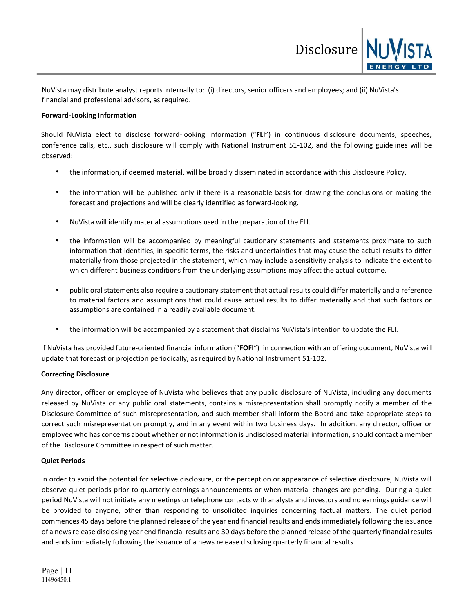NuVista may distribute analyst reports internally to: (i) directors, senior officers and employees; and (ii) NuVista's financial and professional advisors, as required.

## **Forward-Looking Information**

Should NuVista elect to disclose forward-looking information ("**FLI**") in continuous disclosure documents, speeches, conference calls, etc., such disclosure will comply with National Instrument 51-102, and the following guidelines will be observed:

Disclosure

- the information, if deemed material, will be broadly disseminated in accordance with this Disclosure Policy.
- the information will be published only if there is a reasonable basis for drawing the conclusions or making the forecast and projections and will be clearly identified as forward-looking.
- NuVista will identify material assumptions used in the preparation of the FLI.
- the information will be accompanied by meaningful cautionary statements and statements proximate to such information that identifies, in specific terms, the risks and uncertainties that may cause the actual results to differ materially from those projected in the statement, which may include a sensitivity analysis to indicate the extent to which different business conditions from the underlying assumptions may affect the actual outcome.
- public oral statements also require a cautionary statement that actual results could differ materially and a reference to material factors and assumptions that could cause actual results to differ materially and that such factors or assumptions are contained in a readily available document.
- the information will be accompanied by a statement that disclaims NuVista's intention to update the FLI.

If NuVista has provided future-oriented financial information ("**FOFI**") in connection with an offering document, NuVista will update that forecast or projection periodically, as required by National Instrument 51-102.

# **Correcting Disclosure**

Any director, officer or employee of NuVista who believes that any public disclosure of NuVista, including any documents released by NuVista or any public oral statements, contains a misrepresentation shall promptly notify a member of the Disclosure Committee of such misrepresentation, and such member shall inform the Board and take appropriate steps to correct such misrepresentation promptly, and in any event within two business days. In addition, any director, officer or employee who has concerns about whether or not information is undisclosed material information, should contact a member of the Disclosure Committee in respect of such matter.

### **Quiet Periods**

In order to avoid the potential for selective disclosure, or the perception or appearance of selective disclosure, NuVista will observe quiet periods prior to quarterly earnings announcements or when material changes are pending. During a quiet period NuVista will not initiate any meetings or telephone contacts with analysts and investors and no earnings guidance will be provided to anyone, other than responding to unsolicited inquiries concerning factual matters. The quiet period commences 45 days before the planned release of the year end financial results and ends immediately following the issuance of a news release disclosing year end financial results and 30 days before the planned release of the quarterly financial results and ends immediately following the issuance of a news release disclosing quarterly financial results.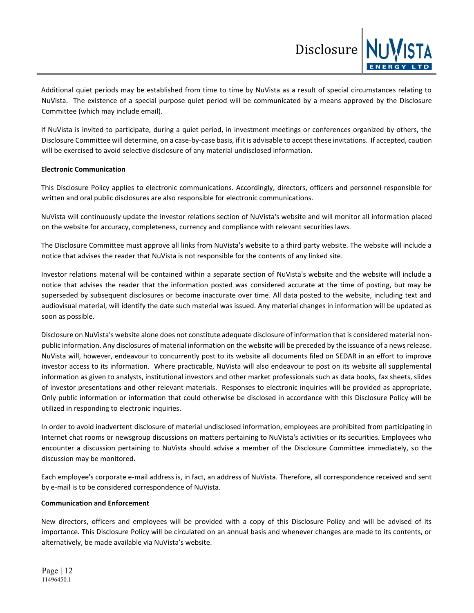Additional quiet periods may be established from time to time by NuVista as a result of special circumstances relating to NuVista. The existence of a special purpose quiet period will be communicated by a means approved by the Disclosure Committee (which may include email).

Disclosure

If NuVista is invited to participate, during a quiet period, in investment meetings or conferences organized by others, the Disclosure Committee will determine, on a case-by-case basis, if it is advisable to accept these invitations. If accepted, caution will be exercised to avoid selective disclosure of any material undisclosed information.

## **Electronic Communication**

This Disclosure Policy applies to electronic communications. Accordingly, directors, officers and personnel responsible for written and oral public disclosures are also responsible for electronic communications.

NuVista will continuously update the investor relations section of NuVista's website and will monitor all information placed on the website for accuracy, completeness, currency and compliance with relevant securities laws.

The Disclosure Committee must approve all links from NuVista's website to a third party website. The website will include a notice that advises the reader that NuVista is not responsible for the contents of any linked site.

Investor relations material will be contained within a separate section of NuVista's website and the website will include a notice that advises the reader that the information posted was considered accurate at the time of posting, but may be superseded by subsequent disclosures or become inaccurate over time. All data posted to the website, including text and audiovisual material, will identify the date such material was issued. Any material changes in information will be updated as soon as possible.

Disclosure on NuVista's website alone does not constitute adequate disclosure of information that is considered material nonpublic information. Any disclosures of material information on the website will be preceded by the issuance of a news release. NuVista will, however, endeavour to concurrently post to its website all documents filed on SEDAR in an effort to improve investor access to its information. Where practicable, NuVista will also endeavour to post on its website all supplemental information as given to analysts, institutional investors and other market professionals such as data books, fax sheets, slides of investor presentations and other relevant materials. Responses to electronic inquiries will be provided as appropriate. Only public information or information that could otherwise be disclosed in accordance with this Disclosure Policy will be utilized in responding to electronic inquiries.

In order to avoid inadvertent disclosure of material undisclosed information, employees are prohibited from participating in Internet chat rooms or newsgroup discussions on matters pertaining to NuVista's activities or its securities. Employees who encounter a discussion pertaining to NuVista should advise a member of the Disclosure Committee immediately, so the discussion may be monitored.

Each employee's corporate e-mail address is, in fact, an address of NuVista. Therefore, all correspondence received and sent by e-mail is to be considered correspondence of NuVista.

### **Communication and Enforcement**

New directors, officers and employees will be provided with a copy of this Disclosure Policy and will be advised of its importance. This Disclosure Policy will be circulated on an annual basis and whenever changes are made to its contents, or alternatively, be made available via NuVista's website.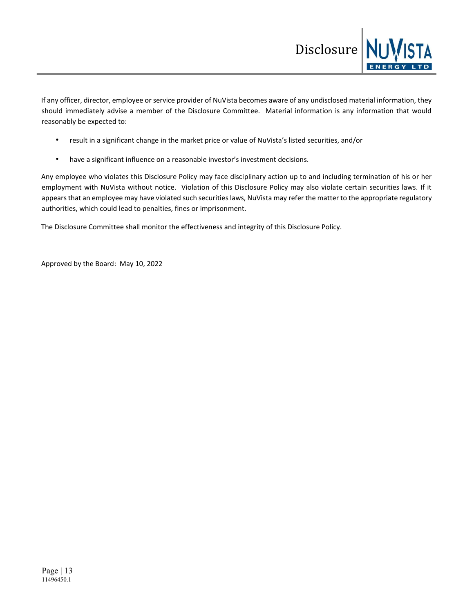

If any officer, director, employee or service provider of NuVista becomes aware of any undisclosed material information, they should immediately advise a member of the Disclosure Committee. Material information is any information that would reasonably be expected to:

- result in a significant change in the market price or value of NuVista's listed securities, and/or
- have a significant influence on a reasonable investor's investment decisions.

Any employee who violates this Disclosure Policy may face disciplinary action up to and including termination of his or her employment with NuVista without notice. Violation of this Disclosure Policy may also violate certain securities laws. If it appears that an employee may have violated such securities laws, NuVista may refer the matter to the appropriate regulatory authorities, which could lead to penalties, fines or imprisonment.

The Disclosure Committee shall monitor the effectiveness and integrity of this Disclosure Policy.

Approved by the Board: May 10, 2022